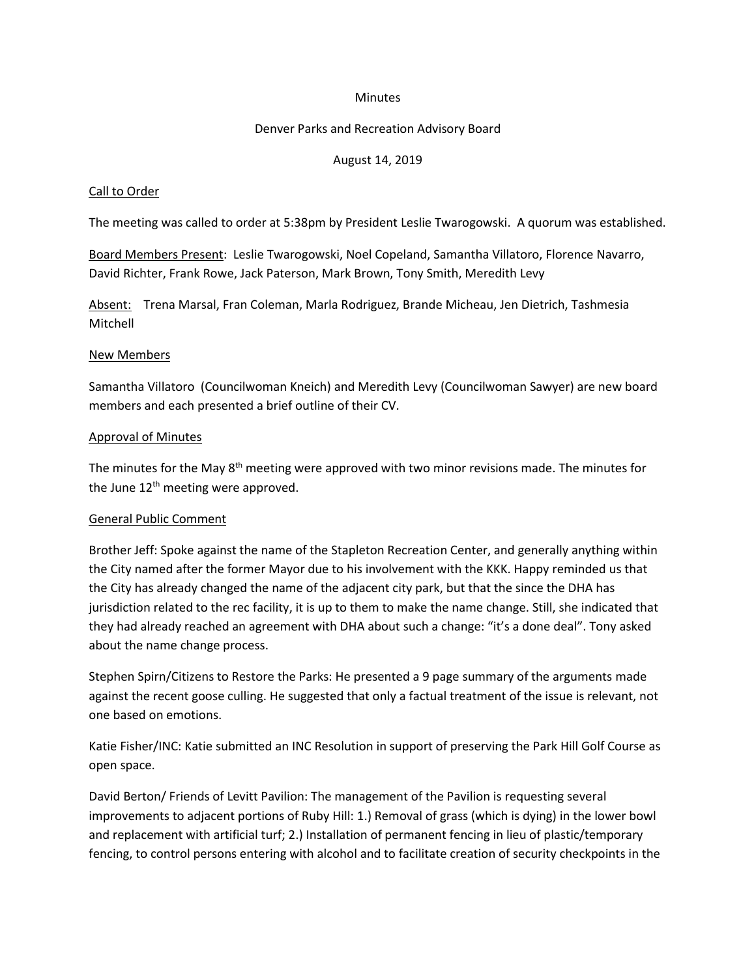#### **Minutes**

## Denver Parks and Recreation Advisory Board

## August 14, 2019

### Call to Order

The meeting was called to order at 5:38pm by President Leslie Twarogowski. A quorum was established.

Board Members Present: Leslie Twarogowski, Noel Copeland, Samantha Villatoro, Florence Navarro, David Richter, Frank Rowe, Jack Paterson, Mark Brown, Tony Smith, Meredith Levy

Absent: Trena Marsal, Fran Coleman, Marla Rodriguez, Brande Micheau, Jen Dietrich, Tashmesia Mitchell

### New Members

Samantha Villatoro (Councilwoman Kneich) and Meredith Levy (Councilwoman Sawyer) are new board members and each presented a brief outline of their CV.

### Approval of Minutes

The minutes for the May  $8<sup>th</sup>$  meeting were approved with two minor revisions made. The minutes for the June  $12<sup>th</sup>$  meeting were approved.

#### General Public Comment

Brother Jeff: Spoke against the name of the Stapleton Recreation Center, and generally anything within the City named after the former Mayor due to his involvement with the KKK. Happy reminded us that the City has already changed the name of the adjacent city park, but that the since the DHA has jurisdiction related to the rec facility, it is up to them to make the name change. Still, she indicated that they had already reached an agreement with DHA about such a change: "it's a done deal". Tony asked about the name change process.

Stephen Spirn/Citizens to Restore the Parks: He presented a 9 page summary of the arguments made against the recent goose culling. He suggested that only a factual treatment of the issue is relevant, not one based on emotions.

Katie Fisher/INC: Katie submitted an INC Resolution in support of preserving the Park Hill Golf Course as open space.

David Berton/ Friends of Levitt Pavilion: The management of the Pavilion is requesting several improvements to adjacent portions of Ruby Hill: 1.) Removal of grass (which is dying) in the lower bowl and replacement with artificial turf; 2.) Installation of permanent fencing in lieu of plastic/temporary fencing, to control persons entering with alcohol and to facilitate creation of security checkpoints in the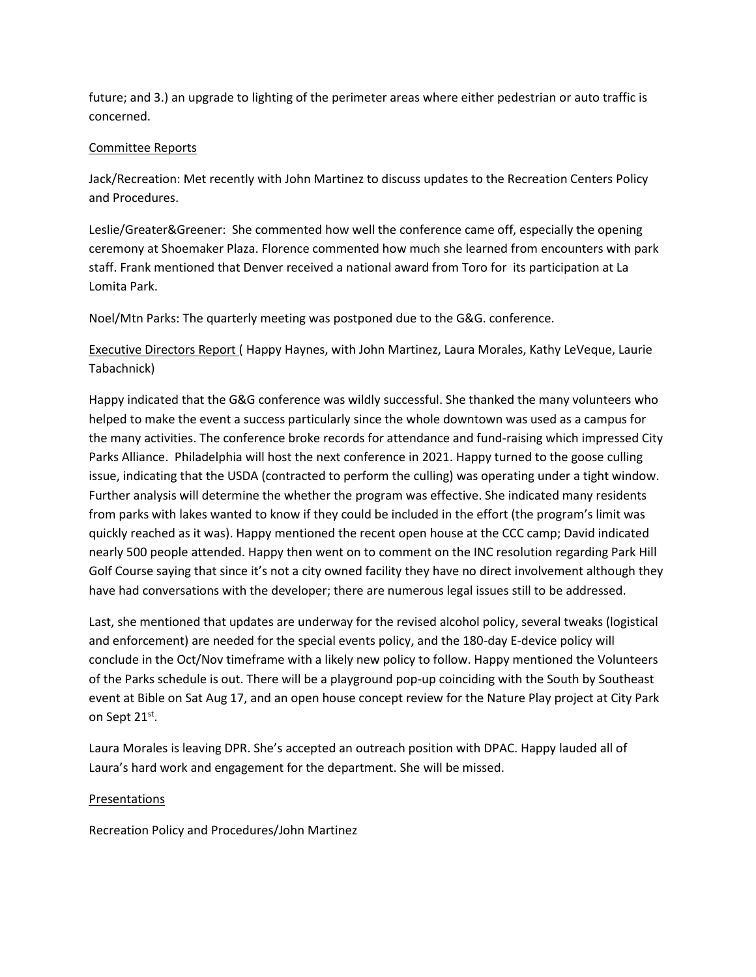future; and 3.) an upgrade to lighting of the perimeter areas where either pedestrian or auto traffic is concerned.

# Committee Reports

Jack/Recreation: Met recently with John Martinez to discuss updates to the Recreation Centers Policy and Procedures.

Leslie/Greater&Greener: She commented how well the conference came off, especially the opening ceremony at Shoemaker Plaza. Florence commented how much she learned from encounters with park staff. Frank mentioned that Denver received a national award from Toro for its participation at La Lomita Park.

Noel/Mtn Parks: The quarterly meeting was postponed due to the G&G. conference.

Executive Directors Report ( Happy Haynes, with John Martinez, Laura Morales, Kathy LeVeque, Laurie Tabachnick)

Happy indicated that the G&G conference was wildly successful. She thanked the many volunteers who helped to make the event a success particularly since the whole downtown was used as a campus for the many activities. The conference broke records for attendance and fund-raising which impressed City Parks Alliance. Philadelphia will host the next conference in 2021. Happy turned to the goose culling issue, indicating that the USDA (contracted to perform the culling) was operating under a tight window. Further analysis will determine the whether the program was effective. She indicated many residents from parks with lakes wanted to know if they could be included in the effort (the program's limit was quickly reached as it was). Happy mentioned the recent open house at the CCC camp; David indicated nearly 500 people attended. Happy then went on to comment on the INC resolution regarding Park Hill Golf Course saying that since it's not a city owned facility they have no direct involvement although they have had conversations with the developer; there are numerous legal issues still to be addressed.

Last, she mentioned that updates are underway for the revised alcohol policy, several tweaks (logistical and enforcement) are needed for the special events policy, and the 180-day E-device policy will conclude in the Oct/Nov timeframe with a likely new policy to follow. Happy mentioned the Volunteers of the Parks schedule is out. There will be a playground pop-up coinciding with the South by Southeast event at Bible on Sat Aug 17, and an open house concept review for the Nature Play project at City Park on Sept 21st.

Laura Morales is leaving DPR. She's accepted an outreach position with DPAC. Happy lauded all of Laura's hard work and engagement for the department. She will be missed.

# Presentations

Recreation Policy and Procedures/John Martinez